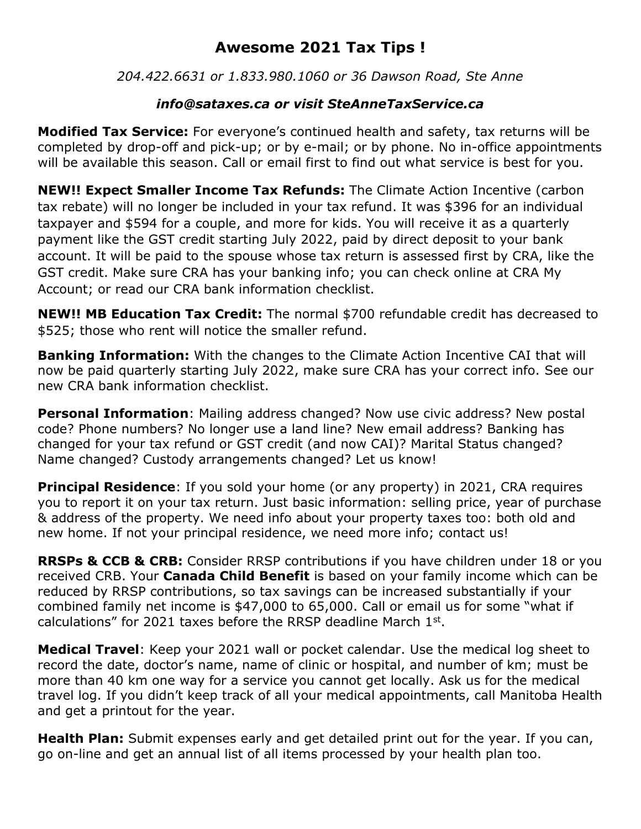## **Awesome 2021 Tax Tips !**

*204.422.6631 or 1.833.980.1060 or 36 Dawson Road, Ste Anne*

## *info@sataxes.ca or visit SteAnneTaxService.ca*

**Modified Tax Service:** For everyone's continued health and safety, tax returns will be completed by drop-off and pick-up; or by e-mail; or by phone. No in-office appointments will be available this season. Call or email first to find out what service is best for you.

**NEW!! Expect Smaller Income Tax Refunds:** The Climate Action Incentive (carbon tax rebate) will no longer be included in your tax refund. It was \$396 for an individual taxpayer and \$594 for a couple, and more for kids. You will receive it as a quarterly payment like the GST credit starting July 2022, paid by direct deposit to your bank account. It will be paid to the spouse whose tax return is assessed first by CRA, like the GST credit. Make sure CRA has your banking info; you can check online at CRA My Account; or read our CRA bank information checklist.

**NEW!! MB Education Tax Credit:** The normal \$700 refundable credit has decreased to \$525; those who rent will notice the smaller refund.

**Banking Information:** With the changes to the Climate Action Incentive CAI that will now be paid quarterly starting July 2022, make sure CRA has your correct info. See our new CRA bank information checklist.

**Personal Information**: Mailing address changed? Now use civic address? New postal code? Phone numbers? No longer use a land line? New email address? Banking has changed for your tax refund or GST credit (and now CAI)? Marital Status changed? Name changed? Custody arrangements changed? Let us know!

**Principal Residence**: If you sold your home (or any property) in 2021, CRA requires you to report it on your tax return. Just basic information: selling price, year of purchase & address of the property. We need info about your property taxes too: both old and new home. If not your principal residence, we need more info; contact us!

**RRSPs & CCB & CRB:** Consider RRSP contributions if you have children under 18 or you received CRB. Your **Canada Child Benefit** is based on your family income which can be reduced by RRSP contributions, so tax savings can be increased substantially if your combined family net income is \$47,000 to 65,000. Call or email us for some "what if calculations" for 2021 taxes before the RRSP deadline March  $1<sup>st</sup>$ .

**Medical Travel**: Keep your 2021 wall or pocket calendar. Use the medical log sheet to record the date, doctor's name, name of clinic or hospital, and number of km; must be more than 40 km one way for a service you cannot get locally. Ask us for the medical travel log. If you didn't keep track of all your medical appointments, call Manitoba Health and get a printout for the year.

**Health Plan:** Submit expenses early and get detailed print out for the year. If you can, go on-line and get an annual list of all items processed by your health plan too.